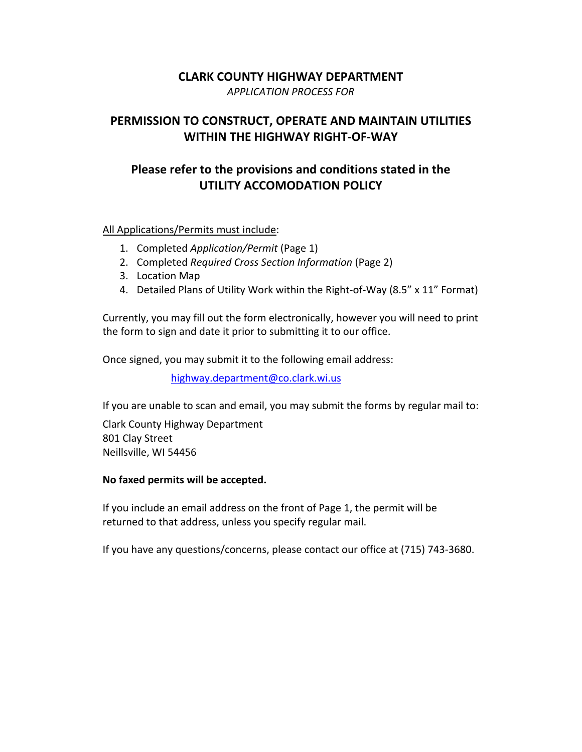## **CLARK COUNTY HIGHWAY DEPARTMENT**

*APPLICATION PROCESS FOR* 

# **PERMISSION TO CONSTRUCT, OPERATE AND MAINTAIN UTILITIES WITHIN THE HIGHWAY RIGHT‐OF‐WAY**

# **Please refer to the provisions and conditions stated in the UTILITY ACCOMODATION POLICY**

### All Applications/Permits must include:

- 1. Completed *Application/Permit* (Page 1)
- 2. Completed *Required Cross Section Information* (Page 2)
- 3. Location Map
- 4. Detailed Plans of Utility Work within the Right-of-Way (8.5" x 11" Format)

Currently, you may fill out the form electronically, however you will need to print the form to sign and date it prior to submitting it to our office.

Once signed, you may submit it to the following email address:

highway.department@co.clark.wi.us

If you are unable to scan and email, you may submit the forms by regular mail to:

Clark County Highway Department 801 Clay Street Neillsville, WI 54456

### **No faxed permits will be accepted.**

If you include an email address on the front of Page 1, the permit will be returned to that address, unless you specify regular mail.

If you have any questions/concerns, please contact our office at (715) 743‐3680.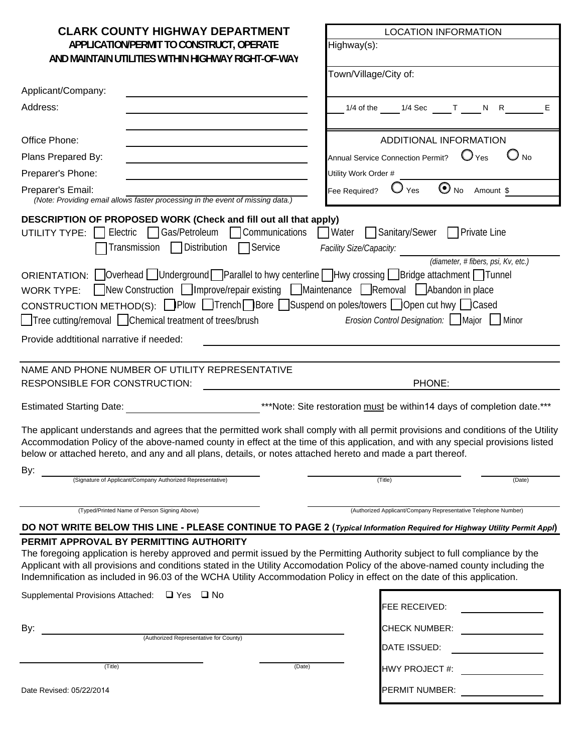| <b>CLARK COUNTY HIGHWAY DEPARTMENT</b>                                                                                                                                                                                                                                                                                                                                                     | <b>LOCATION INFORMATION</b>                                                           |  |
|--------------------------------------------------------------------------------------------------------------------------------------------------------------------------------------------------------------------------------------------------------------------------------------------------------------------------------------------------------------------------------------------|---------------------------------------------------------------------------------------|--|
| APPLICATION/PERMIT TO CONSTRUCT, OPERATE                                                                                                                                                                                                                                                                                                                                                   | Highway(s):                                                                           |  |
| AND MAINTAIN UTILITIES WITHIN HIGHWAY RIGHT-OF-WAY                                                                                                                                                                                                                                                                                                                                         |                                                                                       |  |
|                                                                                                                                                                                                                                                                                                                                                                                            | Town/Village/City of:                                                                 |  |
| Applicant/Company:                                                                                                                                                                                                                                                                                                                                                                         |                                                                                       |  |
| Address:                                                                                                                                                                                                                                                                                                                                                                                   | N R<br>$1/4$ of the<br>$1/4$ Sec<br>$\mathbf{T}$<br>Е                                 |  |
| Office Phone:                                                                                                                                                                                                                                                                                                                                                                              | ADDITIONAL INFORMATION                                                                |  |
| Plans Prepared By:                                                                                                                                                                                                                                                                                                                                                                         | $\mathbf{O}_{\text{Yes}}$<br>$\bigcup$ No<br><b>Annual Service Connection Permit?</b> |  |
| Preparer's Phone:                                                                                                                                                                                                                                                                                                                                                                          | Utility Work Order #                                                                  |  |
| Preparer's Email:<br>(Note: Providing email allows faster processing in the event of missing data.)                                                                                                                                                                                                                                                                                        | $\bigodot$ No<br>Fee Required?<br>Yes<br>Amount \$                                    |  |
| DESCRIPTION OF PROPOSED WORK (Check and fill out all that apply)<br><b>UTILITY TYPE:</b> Electric $\bigcap$ Gas/Petroleum $\bigcap$ Communications $\bigcap$ Water $\bigcap$ Sanitary/Sewer $\bigcap$ Private Line<br>Transmission □ Distribution □ Service                                                                                                                                | Facility Size/Capacity:<br>(diameter, #fibers, psi, Kv, etc.)                         |  |
| ORIENTATION: Overhead Underground Parallel to hwy centerline Hwy crossing Bridge attachment Tunnel<br>WORK TYPE: New Construction Improve/repair existing Maintenance Removal Abandon in place<br>CONSTRUCTION METHOD(S): Plow ITrench Bore Suspend on poles/towers Open cut hwy ICased<br>□ Tree cutting/removal □ Chemical treatment of trees/brush                                      | <i>Erosion Control Designation:</i> Major Minor                                       |  |
| Provide addtitional narrative if needed:                                                                                                                                                                                                                                                                                                                                                   |                                                                                       |  |
|                                                                                                                                                                                                                                                                                                                                                                                            |                                                                                       |  |
| NAME AND PHONE NUMBER OF UTILITY REPRESENTATIVE<br>RESPONSIBLE FOR CONSTRUCTION:                                                                                                                                                                                                                                                                                                           | PHONE:                                                                                |  |
| <b>Estimated Starting Date:</b>                                                                                                                                                                                                                                                                                                                                                            | ***Note: Site restoration must be within14 days of completion date.***                |  |
| The applicant understands and agrees that the permitted work shall comply with all permit provisions and conditions of the Utility<br>Accommodation Policy of the above-named county in effect at the time of this application, and with any special provisions listed<br>below or attached hereto, and any and all plans, details, or notes attached hereto and made a part thereof.      |                                                                                       |  |
| By:<br>(Signature of Applicant/Company Authorized Representative)                                                                                                                                                                                                                                                                                                                          | (Title)<br>(Date)                                                                     |  |
| (Typed/Printed Name of Person Signing Above)                                                                                                                                                                                                                                                                                                                                               | (Authorized Applicant/Company Representative Telephone Number)                        |  |
| DO NOT WRITE BELOW THIS LINE - PLEASE CONTINUE TO PAGE 2 (Typical Information Required for Highway Utility Permit Appl)<br>PERMIT APPROVAL BY PERMITTING AUTHORITY                                                                                                                                                                                                                         |                                                                                       |  |
| The foregoing application is hereby approved and permit issued by the Permitting Authority subject to full compliance by the<br>Applicant with all provisions and conditions stated in the Utility Accomodation Policy of the above-named county including the<br>Indemnification as included in 96.03 of the WCHA Utility Accommodation Policy in effect on the date of this application. |                                                                                       |  |
| Supplemental Provisions Attached: □ Yes □ No                                                                                                                                                                                                                                                                                                                                               | FEE RECEIVED:                                                                         |  |
| By:                                                                                                                                                                                                                                                                                                                                                                                        | <b>CHECK NUMBER:</b>                                                                  |  |
| (Authorized Representative for County)                                                                                                                                                                                                                                                                                                                                                     | DATE ISSUED:                                                                          |  |
| (Title)<br>(Date)                                                                                                                                                                                                                                                                                                                                                                          | HWY PROJECT #:                                                                        |  |
| Date Revised: 05/22/2014                                                                                                                                                                                                                                                                                                                                                                   | PERMIT NUMBER:                                                                        |  |